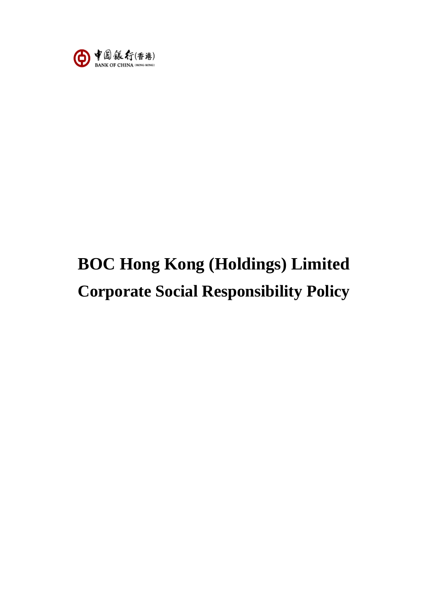

# **BOC Hong Kong (Holdings) Limited Corporate Social Responsibility Policy**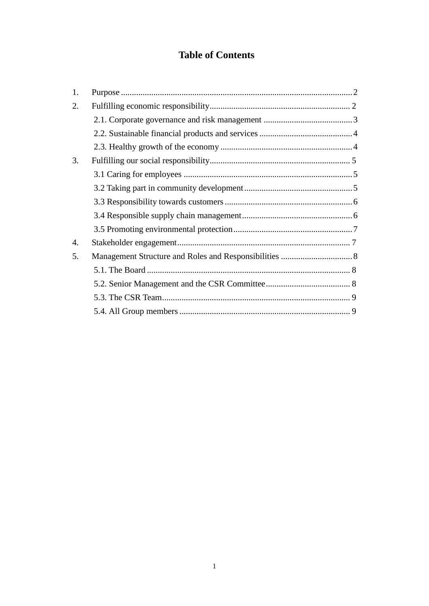# **Table of Contents**

| 1. |  |
|----|--|
| 2. |  |
|    |  |
|    |  |
|    |  |
| 3. |  |
|    |  |
|    |  |
|    |  |
|    |  |
|    |  |
| 4. |  |
| 5. |  |
|    |  |
|    |  |
|    |  |
|    |  |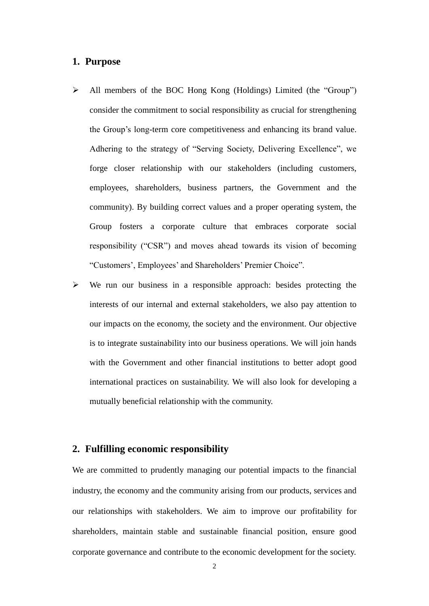# <span id="page-2-0"></span>**1. Purpose**

- All members of the BOC Hong Kong (Holdings) Limited (the "Group") consider the commitment to social responsibility as crucial for strengthening the Group's long-term core competitiveness and enhancing its brand value. Adhering to the strategy of "Serving Society, Delivering Excellence", we forge closer relationship with our stakeholders (including customers, employees, shareholders, business partners, the Government and the community). By building correct values and a proper operating system, the Group fosters a corporate culture that embraces corporate social responsibility ("CSR") and moves ahead towards its vision of becoming "Customers', Employees' and Shareholders' Premier Choice".
- $\triangleright$  We run our business in a responsible approach: besides protecting the interests of our internal and external stakeholders, we also pay attention to our impacts on the economy, the society and the environment. Our objective is to integrate sustainability into our business operations. We will join hands with the Government and other financial institutions to better adopt good international practices on sustainability. We will also look for developing a mutually beneficial relationship with the community.

# <span id="page-2-1"></span>**2. Fulfilling economic responsibility**

We are committed to prudently managing our potential impacts to the financial industry, the economy and the community arising from our products, services and our relationships with stakeholders. We aim to improve our profitability for shareholders, maintain stable and sustainable financial position, ensure good corporate governance and contribute to the economic development for the society.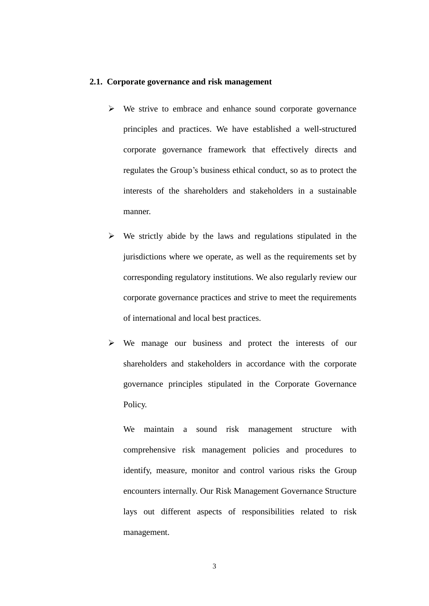#### <span id="page-3-0"></span>**2.1. Corporate governance and risk management**

- $\triangleright$  We strive to embrace and enhance sound corporate governance principles and practices. We have established a well-structured corporate governance framework that effectively directs and regulates the Group's business ethical conduct, so as to protect the interests of the shareholders and stakeholders in a sustainable manner.
- $\triangleright$  We strictly abide by the laws and regulations stipulated in the jurisdictions where we operate, as well as the requirements set by corresponding regulatory institutions. We also regularly review our corporate governance practices and strive to meet the requirements of international and local best practices.
- We manage our business and protect the interests of our shareholders and stakeholders in accordance with the corporate governance principles stipulated in the Corporate Governance Policy.

We maintain a sound risk management structure with comprehensive risk management policies and procedures to identify, measure, monitor and control various risks the Group encounters internally. Our Risk Management Governance Structure lays out different aspects of responsibilities related to risk management.

3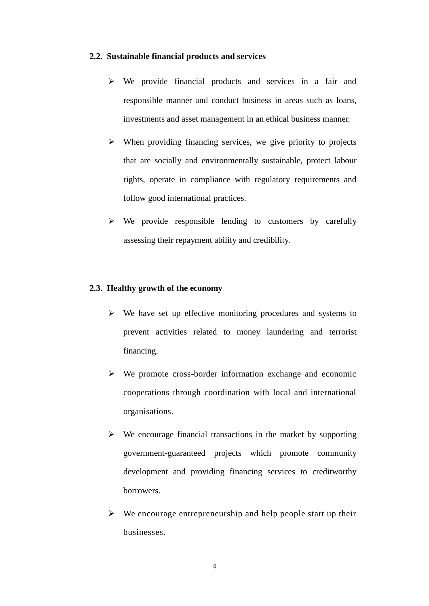#### <span id="page-4-0"></span>**2.2. Sustainable financial products and services**

- We provide financial products and services in a fair and responsible manner and conduct business in areas such as loans, investments and asset management in an ethical business manner.
- $\triangleright$  When providing financing services, we give priority to projects that are socially and environmentally sustainable, protect labour rights, operate in compliance with regulatory requirements and follow good international practices.
- $\triangleright$  We provide responsible lending to customers by carefully assessing their repayment ability and credibility.

# <span id="page-4-1"></span>**2.3. Healthy growth of the economy**

- $\triangleright$  We have set up effective monitoring procedures and systems to prevent activities related to money laundering and terrorist financing.
- $\triangleright$  We promote cross-border information exchange and economic cooperations through coordination with local and international organisations.
- $\triangleright$  We encourage financial transactions in the market by supporting government-guaranteed projects which promote community development and providing financing services to creditworthy borrowers.
- $\triangleright$  We encourage entrepreneurship and help people start up their businesses.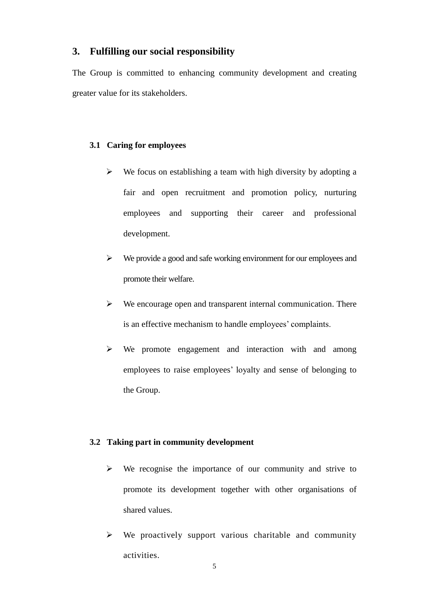# <span id="page-5-0"></span>**3. Fulfilling our social responsibility**

The Group is committed to enhancing community development and creating greater value for its stakeholders.

#### <span id="page-5-1"></span>**3.1 Caring for employees**

- $\triangleright$  We focus on establishing a team with high diversity by adopting a fair and open recruitment and promotion policy, nurturing employees and supporting their career and professional development.
- We provide a good and safe working environment for our employees and promote their welfare.
- $\triangleright$  We encourage open and transparent internal communication. There is an effective mechanism to handle employees' complaints.
- $\triangleright$  We promote engagement and interaction with and among employees to raise employees' loyalty and sense of belonging to the Group.

#### <span id="page-5-2"></span>**3.2 Taking part in community development**

- $\triangleright$  We recognise the importance of our community and strive to promote its development together with other organisations of shared values.
- $\triangleright$  We proactively support various charitable and community activities.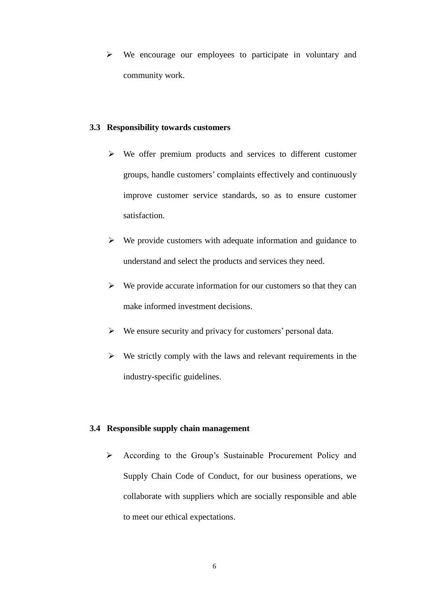$\triangleright$  We encourage our employees to participate in voluntary and community work.

#### <span id="page-6-0"></span>**3.3 Responsibility towards customers**

- $\triangleright$  We offer premium products and services to different customer groups, handle customers' complaints effectively and continuously improve customer service standards, so as to ensure customer satisfaction.
- $\triangleright$  We provide customers with adequate information and guidance to understand and select the products and services they need.
- $\triangleright$  We provide accurate information for our customers so that they can make informed investment decisions.
- $\triangleright$  We ensure security and privacy for customers' personal data.
- $\triangleright$  We strictly comply with the laws and relevant requirements in the industry-specific guidelines.

# <span id="page-6-1"></span>**3.4 Responsible supply chain management**

 According to the Group's Sustainable Procurement Policy and Supply Chain Code of Conduct, for our business operations, we collaborate with suppliers which are socially responsible and able to meet our ethical expectations.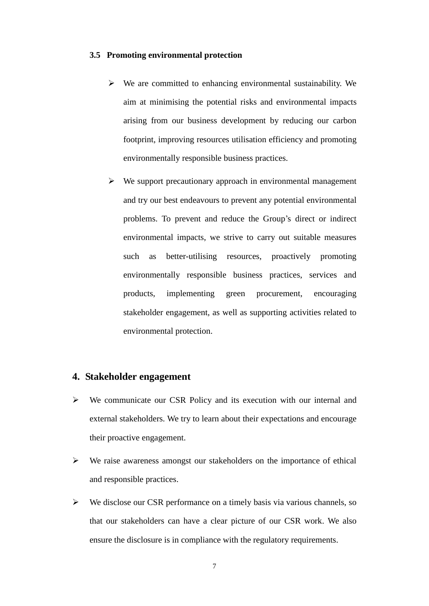#### <span id="page-7-0"></span>**3.5 Promoting environmental protection**

- $\triangleright$  We are committed to enhancing environmental sustainability. We aim at minimising the potential risks and environmental impacts arising from our business development by reducing our carbon footprint, improving resources utilisation efficiency and promoting environmentally responsible business practices.
- $\triangleright$  We support precautionary approach in environmental management and try our best endeavours to prevent any potential environmental problems. To prevent and reduce the Group's direct or indirect environmental impacts, we strive to carry out suitable measures such as better-utilising resources, proactively promoting environmentally responsible business practices, services and products, implementing green procurement, encouraging stakeholder engagement, as well as supporting activities related to environmental protection.

# <span id="page-7-1"></span>**4. Stakeholder engagement**

- $\triangleright$  We communicate our CSR Policy and its execution with our internal and external stakeholders. We try to learn about their expectations and encourage their proactive engagement.
- $\triangleright$  We raise awareness amongst our stakeholders on the importance of ethical and responsible practices.
- $\triangleright$  We disclose our CSR performance on a timely basis via various channels, so that our stakeholders can have a clear picture of our CSR work. We also ensure the disclosure is in compliance with the regulatory requirements.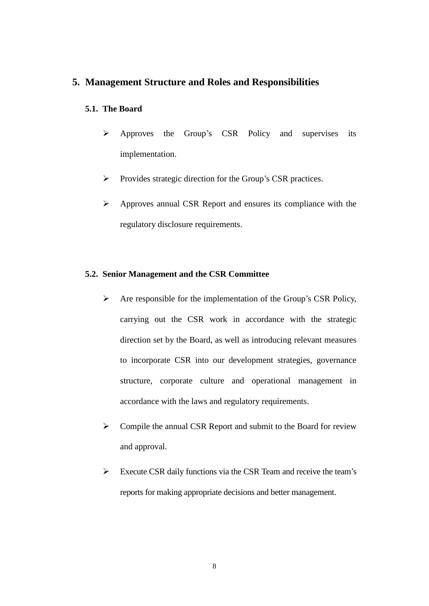# <span id="page-8-0"></span>**5. Management Structure and Roles and Responsibilities**

### <span id="page-8-1"></span>**5.1. The Board**

- Approves the Group's CSR Policy and supervises its implementation.
- $\triangleright$  Provides strategic direction for the Group's CSR practices.
- $\triangleright$  Approves annual CSR Report and ensures its compliance with the regulatory disclosure requirements.

# <span id="page-8-2"></span>**5.2. Senior Management and the CSR Committee**

- $\triangleright$  Are responsible for the implementation of the Group's CSR Policy, carrying out the CSR work in accordance with the strategic direction set by the Board, as well as introducing relevant measures to incorporate CSR into our development strategies, governance structure, corporate culture and operational management in accordance with the laws and regulatory requirements.
- $\triangleright$  Compile the annual CSR Report and submit to the Board for review and approval.
- $\triangleright$  Execute CSR daily functions via the CSR Team and receive the team's reports for making appropriate decisions and better management.